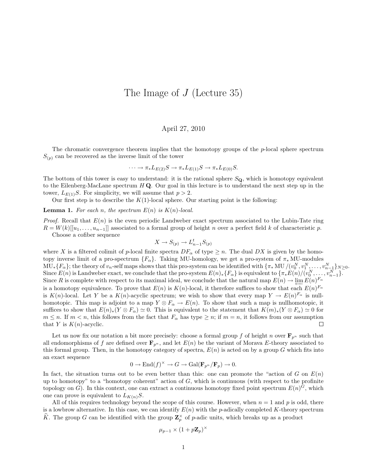## The Image of J (Lecture 35)

## April 27, 2010

The chromatic convergence theorem implies that the homotopy groups of the p-local sphere spectrum  $S_{(p)}$  can be recovered as the inverse limit of the tower

$$
\cdots \to \pi_* L_{E(2)}S \to \pi_* L_{E(1)}S \to \pi_* L_{E(0)}S.
$$

The bottom of this tower is easy to understand: it is the rational sphere  $S_{\mathbf{Q}}$ , which is homotopy equivalent to the Eilenberg-MacLane spectrum  $H\mathbf{Q}$ . Our goal in this lecture is to understand the next step up in the tower,  $L_{E(1)}S$ . For simplicity, we will assume that  $p > 2$ .

Our first step is to describe the  $K(1)$ -local sphere. Our starting point is the following:

**Lemma 1.** For each n, the spectrum  $E(n)$  is  $K(n)$ -local.

*Proof.* Recall that  $E(n)$  is the even periodic Landweber exact spectrum associated to the Lubin-Tate ring  $R = W(k)[[u_1, \ldots, u_{n-1}]]$  associated to a formal group of height n over a perfect field k of characteristic p. Choose a cofiber sequence

$$
X \to S_{(p)} \to L_{n-1}^t S_{(p)}
$$

where X is a filtered colimit of p-local finite spectra  $DF_{\alpha}$  of type  $\geq n$ . The dual DX is given by the homotopy inverse limit of a pro-spectrum  ${F_\alpha}$ . Taking MU-homology, we get a pro-system of  $\pi_*$ MU-modules  $\text{MU}_* \{F_\alpha\}$ ; the theory of  $v_n$ -self maps shows that this pro-system can be identified with  $\{\pi_* \text{ MU}/(v_0^N, v_1^N, \ldots, v_{n-1}^N\}_{N\geq 0}$ . Since  $E(n)$  is Landweber exact, we conclude that the pro-system  $E(n)_*\{F_\alpha\}$  is equivalent to  $\{\pi_* E(n)/(v_0^N, \ldots, v_{n-1}^N\}$ . Since R is complete with respect to its maximal ideal, we conclude that the natural map  $E(n) \to \varprojlim_{n} E(n)^{F_n}$ is a homotopy equivalence. To prove that  $E(n)$  is  $K(n)$ -local, it therefore suffices to show that each  $E(n)^{F_{\alpha}}$ is  $K(n)$ -local. Let Y be a  $K(n)$ -acyclic spectrum; we wish to show that every map  $Y \to E(n)^{F_{\alpha}}$  is nullhomotopic. This map is adjoint to a map  $Y \otimes F_\alpha \to E(n)$ . To show that such a map is nullhomotopic, it suffices to show that  $E(n)_*(Y \otimes F_\alpha) \simeq 0$ . This is equivalent to the statement that  $K(m)_*(Y \otimes F_\alpha) \simeq 0$  for  $m \leq n$ . If  $m < n$ , this follows from the fact that  $F_{\alpha}$  has type  $\geq n$ ; if  $m = n$ , it follows from our assumption that Y is  $K(n)$ -acyclic. П

Let us now fix our notation a bit more precisely: choose a formal group f of height n over  $\mathbf{F}_{p^n}$  such that all endomorphisms of f are defined over  $\mathbf{F}_{p^n}$ , and let  $E(n)$  be the variant of Morava E-theory associated to this formal group. Then, in the homotopy category of spectra,  $E(n)$  is acted on by a group G which fits into an exact sequence

$$
0 \to \mathrm{End}(f)^{\times} \to G \to \mathrm{Gal}(\mathbf{F}_{p^n}/\mathbf{F}_p) \to 0.
$$

In fact, the situation turns out to be even better than this: one can promote the "action of  $G$  on  $E(n)$ " up to homotopy" to a "homotopy coherent" action of  $G$ , which is continuous (with respect to the profinite topology on G). In this context, one can extract a continuous homotopy fixed point spectrum  $E(n)^G$ , which one can prove is equivalent to  $L_{K(n)}S$ .

All of this requires technology beyond the scope of this course. However, when  $n = 1$  and p is odd, there is a lowbrow alternative. In this case, we can identify  $E(n)$  with the p-adically completed K-theory spectrum  $\widehat{K}$ . The group G can be identified with the group  $\mathbf{Z}_p^{\times}$  of p-adic units, which breaks up as a product

$$
\mu_{p-1} \times (1 + p \mathbf{Z}_p)^{\times}
$$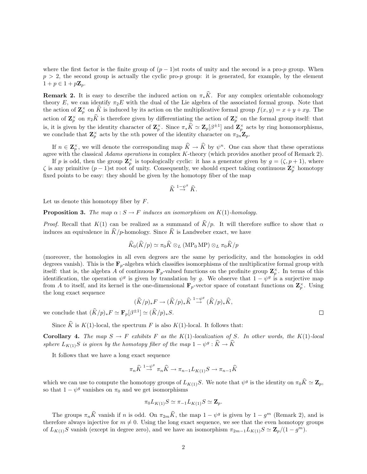where the first factor is the finite group of  $(p-1)$ st roots of unity and the second is a pro-p group. When  $p > 2$ , the second group is actually the cyclic pro-p group: it is generated, for example, by the element  $1+p\in 1+p\mathbf{Z}_p$ .

**Remark 2.** It is easy to describe the induced action on  $\pi_*\hat{K}$ . For any complex orientable cohomology theory E, we can identify  $\pi_2 E$  with the dual of the Lie algebra of the associated formal group. Note that the action of  $\mathbf{Z}_p^{\times}$  on  $\widehat{K}$  is induced by its action on the multiplicative formal group  $f(x, y) = x + y + xy$ . The action of  $\mathbf{Z}_p^{\times}$  on  $\pi_2 \widehat{K}$  is therefore given by differentiating the action of  $\mathbf{Z}_p^{\times}$  on the formal group itself: that is, it is given by the identity character of  $\mathbf{Z}_p^{\times}$ . Since  $\pi_* \widehat{K} \simeq \mathbf{Z}_p[\beta^{\pm 1}]$  and  $\mathbf{Z}_p^{\times}$  acts by ring homomorphisms, we conclude that  $\mathbf{Z}_p^{\times}$  acts by the *n*th power of the identity character on  $\pi_{2n} \mathbf{Z}_p$ .

If  $n \in \mathbb{Z}_p^{\times}$ , we will denote the corresponding map  $\widehat{K} \to \widehat{K}$  by  $\psi^n$ . One can show that these operations agree with the classical Adams operations in complex K-theory (which provides another proof of Remark 2).

If p is odd, then the group  $\mathbb{Z}_p^{\times}$  is topologically cyclic: it has a generator given by  $g = (\zeta, p+1)$ , where  $\zeta$  is any primitive  $(p-1)$ st root of unity. Consequently, we should expect taking continuous  $\mathbf{Z}_p^{\times}$  homotopy fixed points to be easy: they should be given by the homotopy fiber of the map

$$
\widehat{K} \stackrel{1-\psi^g}{\rightarrow} \widehat{K}.
$$

Let us denote this homotopy fiber by  $F$ .

**Proposition 3.** The map  $\alpha : S \to F$  induces an isomorphism on  $K(1)$ -homology.

*Proof.* Recall that  $K(1)$  can be realized as a summand of  $\hat{K}/p$ . It will therefore suffice to show that  $\alpha$ induces an equivalence in  $\widehat{K}/p$ -homology. Since  $\widehat{K}$  is Landweber exact, we have

$$
\widehat{K}_0(\widehat{K}/p) \simeq \pi_0 \widehat{K} \otimes_L (\text{MP}_0 \text{ MP}) \otimes_L \pi_0 \widehat{K}/p
$$

(moreover, the homologies in all even degrees are the same by periodicity, and the homologies in odd degrees vanish). This is the  $\mathbf{F}_p$ -algebra which classifies isomorphisms of the multiplicative formal group with itself: that is, the algebra A of continuous  $\mathbf{F}_p$ -valued functions on the profinite group  $\mathbf{Z}_p^{\times}$ . In terms of this identification, the operation  $\psi^g$  is given by translation by g. We observe that  $1 - \psi^g$  is a surjective map from A to itself, and its kernel is the one-dimensional  $\mathbf{F}_p$ -vector space of constant functions on  $\mathbf{Z}_p^{\times}$ . Using the long exact sequence

$$
(\widehat K/p)_*F\to (\widehat K/p)_*\widehat K\stackrel{1-\psi^g}{\to} (\widehat K/p)_*\widehat K,
$$

we conclude that  $(\widehat{K}/p)_*F \simeq \mathbf{F}_p[\beta^{\pm 1}] \simeq (\widehat{K}/p)_*S$ .

Since  $\hat{K}$  is K(1)-local, the spectrum F is also K(1)-local. It follows that:

**Corollary 4.** The map  $S \to F$  exhibits F as the K(1)-localization of S. In other words, the K(1)-local sphere  $L_{K(1)}S$  is given by the homotopy fiber of the map  $1 - \psi^g : \hat{K} \to \hat{K}$ 

It follows that we have a long exact sequence

$$
\pi_n \widehat{K} \overset{1-\psi^g}{\to} \pi_n \widehat{K} \to \pi_{n-1} L_{K(1)} S \to \pi_{n-1} \widehat{K}
$$

which we can use to compute the homotopy groups of  $L_{K(1)}S$ . We note that  $\psi^g$  is the identity on  $\pi_0\hat{K} \simeq \mathbf{Z}_p$ , so that  $1 - \psi^g$  vanishes on  $\pi_0$  and we get isomorphisms

$$
\pi_0 L_{K(1)} S \simeq \pi_{-1} L_{K(1)} S \simeq \mathbf{Z}_p.
$$

The groups  $\pi_n \hat{K}$  vanish if n is odd. On  $\pi_{2m} \hat{K}$ , the map  $1 - \psi^g$  is given by  $1 - g^m$  (Remark 2), and is therefore always injective for  $m \neq 0$ . Using the long exact sequence, we see that the even homotopy groups of  $L_{K(1)}S$  vanish (except in degree zero), and we have an isomorphism  $\pi_{2m-1}L_{K(1)}S \simeq \mathbb{Z}_p/(1-g^m)$ .

 $\Box$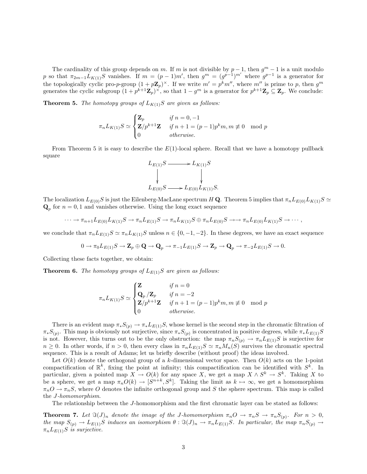The cardinality of this group depends on m. If m is not divisible by  $p-1$ , then  $g^m-1$  is a unit modulo p so that  $\pi_{2m-1}L_{K(1)}S$  vanishes. If  $m = (p-1)m'$ , then  $g^m = (g^{p-1})^{m'}$  where  $g^{p-1}$  is a generator for the topologically cyclic pro-p-group  $(1 + p\mathbf{Z}_p)^{\times}$ . If we write  $m' = p^k m''$ , where  $m''$  is prime to p, then  $g^m$ generates the cyclic subgroup  $(1 + p^{k+1} \mathbf{Z}_p)^{\times}$ , so that  $1 - g^m$  is a generator for  $p^{k+1} \mathbf{Z}_p \subseteq \mathbf{Z}_p$ . We conclude:

**Theorem 5.** The homotopy groups of  $L_{K(1)}S$  are given as follows:

$$
\pi_n L_{K(1)} S \simeq \begin{cases} \mathbf{Z}_p & \text{if } n = 0, -1 \\ \mathbf{Z}/p^{k+1} \mathbf{Z} & \text{if } n+1 = (p-1)p^k m, m \not\equiv 0 \mod p \\ 0 & \text{otherwise.} \end{cases}
$$

From Theorem 5 it is easy to describe the  $E(1)$ -local sphere. Recall that we have a homotopy pullback square

$$
L_{E(1)}S \longrightarrow L_{K(1)}S
$$
  
\n
$$
\downarrow \qquad \qquad \downarrow
$$
  
\n
$$
L_{E(0)}S \longrightarrow L_{E(0)}L_{K(1)}S.
$$

The localization  $L_{E(0)}S$  is just the Eilenberg-MacLane spectrum H Q. Theorem 5 implies that  $\pi_n L_{E(0)}L_{K(1)}S \simeq$  $\mathbf{Q}_p$  for  $n = 0, 1$  and vanishes otherwise. Using the long exact sequence

$$
\cdots \to \pi_{n+1}L_{E(0)}L_{K(1)}S \to \pi_nL_{E(1)}S \to \pi_nL_{K(1)}S \oplus \pi_nL_{E(0)}S \to \to \pi_nL_{E(0)}L_{K(1)}S \to \cdots,
$$

we conclude that  $\pi_n L_{E(1)}S \simeq \pi_n L_{K(1)}S$  unless  $n \in \{0, -1, -2\}$ . In these degrees, we have an exact sequence

$$
0 \to \pi_0 L_{E(1)}S \to \mathbf{Z}_p \oplus \mathbf{Q} \to \mathbf{Q}_p \to \pi_{-1} L_{E(1)}S \to \mathbf{Z}_p \to \mathbf{Q}_p \to \pi_{-2} L_{E(1)}S \to 0.
$$

Collecting these facts together, we obtain:

**Theorem 6.** The homotopy groups of  $L_{E(1)}S$  are given as follows:

$$
\pi_n L_{K(1)} S \simeq \begin{cases} \mathbf{Z} & \text{if } n = 0 \\ \mathbf{Q}_p / \mathbf{Z}_p & \text{if } n = -2 \\ \mathbf{Z}/p^{k+1} \mathbf{Z} & \text{if } n + 1 = (p-1)p^k m, m \neq 0 \mod p \\ 0 & \text{otherwise.} \end{cases}
$$

There is an evident map  $\pi_*S_{(p)} \to \pi_*L_{E(1)}S$ , whose kernel is the second step in the chromatic filtration of  $\pi_*S_{(p)}$ . This map is obviously not surjective, since  $\pi_*S_{(p)}$  is concentrated in positive degrees, while  $\pi_*L_{E(1)}S$ is not. However, this turns out to be the only obstruction: the map  $\pi_nS_{(p)} \to \pi_nL_{E(1)}S$  is surjective for  $n \geq 0$ . In other words, if  $n > 0$ , then every class in  $\pi_n L_{E(1)}S \simeq \pi_n M_n(S)$  survives the chromatic spectral sequence. This is a result of Adams; let us briefly describe (without proof) the ideas involved.

Let  $O(k)$  denote the orthogonal group of a k-dimensional vector space. Then  $O(k)$  acts on the 1-point compactification of  $\mathbb{R}^k$ , fixing the point at infinity; this compactification can be identified with  $S^k$ . In particular, given a pointed map  $X \to O(k)$  for any space X, we get a map  $X \wedge S^k \to S^k$ . Taking X to be a sphere, we get a map  $\pi_n O(k) \to [S^{n+k}, S^k]$ . Taking the limit as  $k \mapsto \infty$ , we get a homomorphism  $\pi_nO \to \pi_nS$ , where O denotes the infinite orthogonal group and S the sphere spectrum. This map is called the J-homomorphism.

The relationship between the J-homomorphism and the first chromatic layer can be stated as follows:

**Theorem 7.** Let  $\Im(J)_n$  denote the image of the J-homomorphism  $\pi_n O \to \pi_n S \to \pi_n S_{(p)}$ . For  $n > 0$ , the map  $S_{(p)} \to L_{E(1)}S$  induces an isomorphism  $\theta : \Im(J)_n \to \pi_n L_{E(1)}S$ . In particular, the map  $\pi_n S_{(p)} \to$  $\pi_n L_{E(1)}S$  is surjective.